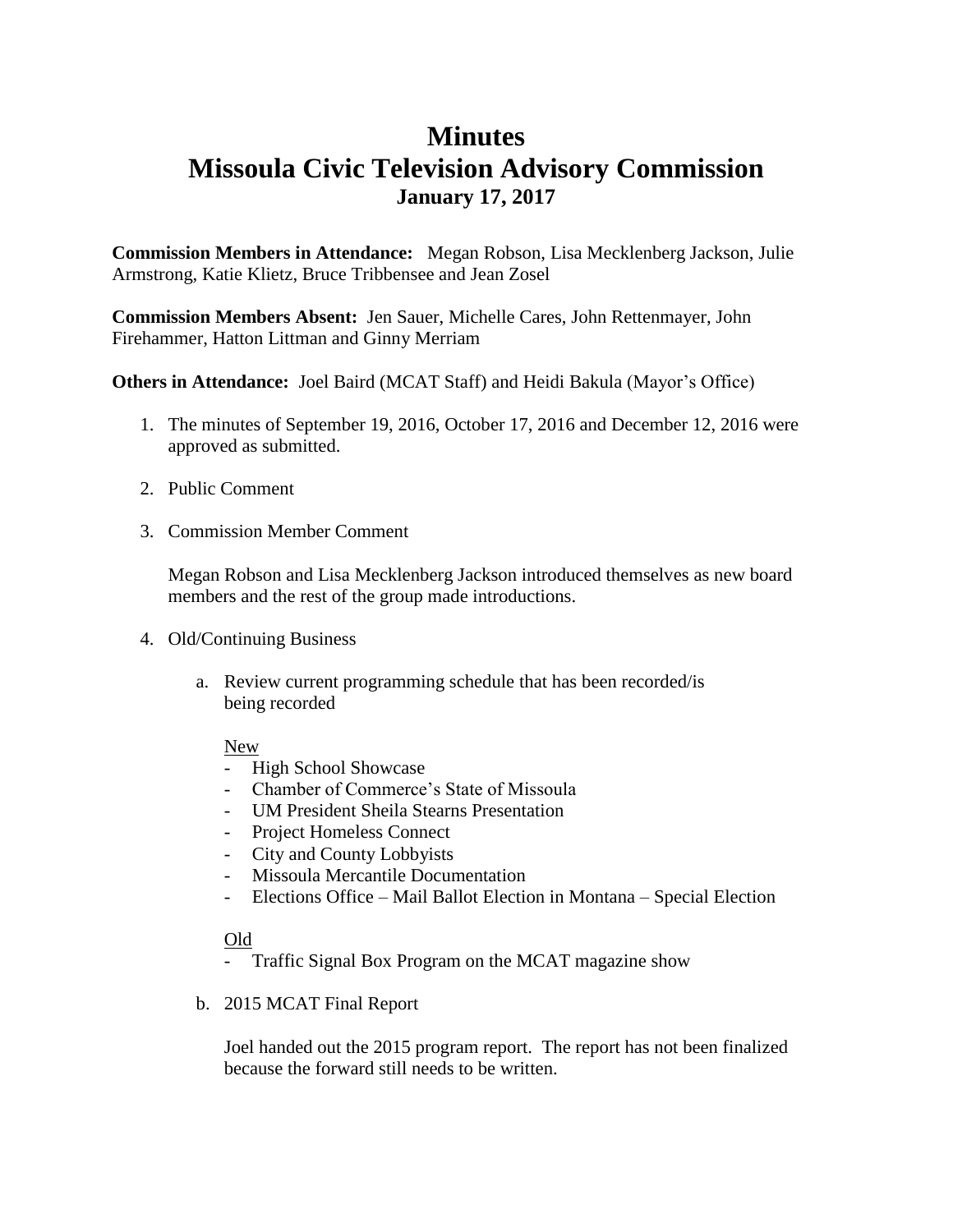## **Minutes Missoula Civic Television Advisory Commission January 17, 2017**

**Commission Members in Attendance:** Megan Robson, Lisa Mecklenberg Jackson, Julie Armstrong, Katie Klietz, Bruce Tribbensee and Jean Zosel

**Commission Members Absent:** Jen Sauer, Michelle Cares, John Rettenmayer, John Firehammer, Hatton Littman and Ginny Merriam

**Others in Attendance:** Joel Baird (MCAT Staff) and Heidi Bakula (Mayor's Office)

- 1. The minutes of September 19, 2016, October 17, 2016 and December 12, 2016 were approved as submitted.
- 2. Public Comment
- 3. Commission Member Comment

Megan Robson and Lisa Mecklenberg Jackson introduced themselves as new board members and the rest of the group made introductions.

- 4. Old/Continuing Business
	- a. Review current programming schedule that has been recorded/is being recorded

## New

- High School Showcase
- Chamber of Commerce's State of Missoula
- UM President Sheila Stearns Presentation
- Project Homeless Connect
- City and County Lobbyists
- Missoula Mercantile Documentation
- Elections Office Mail Ballot Election in Montana Special Election

## Old

- Traffic Signal Box Program on the MCAT magazine show
- b. 2015 MCAT Final Report

Joel handed out the 2015 program report. The report has not been finalized because the forward still needs to be written.